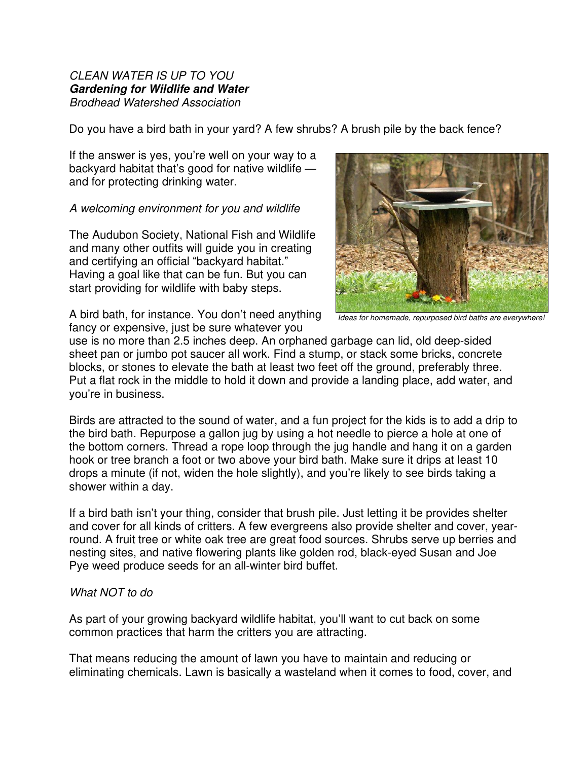## *CLEAN WATER IS UP TO YOU*  **Gardening for Wildlife and Water** *Brodhead Watershed Association*

Do you have a bird bath in your yard? A few shrubs? A brush pile by the back fence?

If the answer is yes, you're well on your way to a backyard habitat that's good for native wildlife and for protecting drinking water.

## *A welcoming environment for you and wildlife*

The Audubon Society, National Fish and Wildlife and many other outfits will guide you in creating and certifying an official "backyard habitat." Having a goal like that can be fun. But you can start providing for wildlife with baby steps.



A bird bath, for instance. You don't need anything fancy or expensive, just be sure whatever you

*Ideas for homemade, repurposed bird baths are everywhere!*

use is no more than 2.5 inches deep. An orphaned garbage can lid, old deep-sided sheet pan or jumbo pot saucer all work. Find a stump, or stack some bricks, concrete blocks, or stones to elevate the bath at least two feet off the ground, preferably three. Put a flat rock in the middle to hold it down and provide a landing place, add water, and you're in business.

Birds are attracted to the sound of water, and a fun project for the kids is to add a drip to the bird bath. Repurpose a gallon jug by using a hot needle to pierce a hole at one of the bottom corners. Thread a rope loop through the jug handle and hang it on a garden hook or tree branch a foot or two above your bird bath. Make sure it drips at least 10 drops a minute (if not, widen the hole slightly), and you're likely to see birds taking a shower within a day.

If a bird bath isn't your thing, consider that brush pile. Just letting it be provides shelter and cover for all kinds of critters. A few evergreens also provide shelter and cover, yearround. A fruit tree or white oak tree are great food sources. Shrubs serve up berries and nesting sites, and native flowering plants like golden rod, black-eyed Susan and Joe Pye weed produce seeds for an all-winter bird buffet.

## *What NOT to do*

As part of your growing backyard wildlife habitat, you'll want to cut back on some common practices that harm the critters you are attracting.

That means reducing the amount of lawn you have to maintain and reducing or eliminating chemicals. Lawn is basically a wasteland when it comes to food, cover, and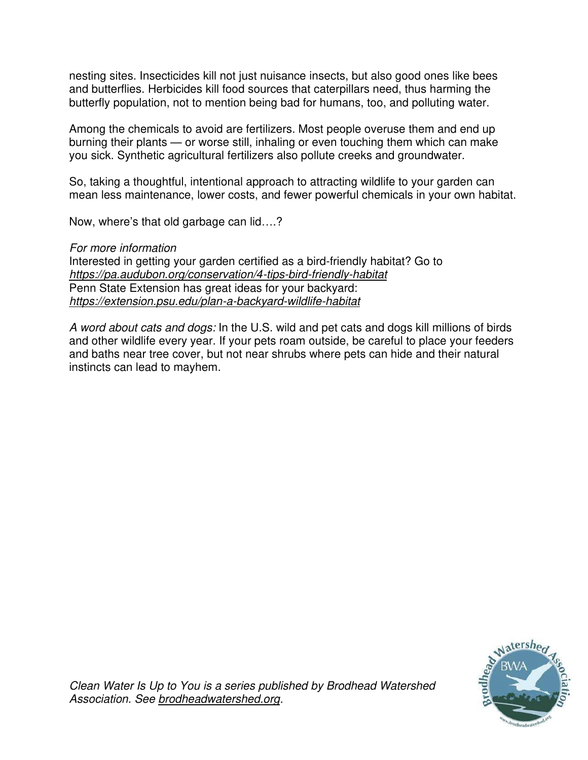nesting sites. Insecticides kill not just nuisance insects, but also good ones like bees and butterflies. Herbicides kill food sources that caterpillars need, thus harming the butterfly population, not to mention being bad for humans, too, and polluting water.

Among the chemicals to avoid are fertilizers. Most people overuse them and end up burning their plants — or worse still, inhaling or even touching them which can make you sick. Synthetic agricultural fertilizers also pollute creeks and groundwater.

So, taking a thoughtful, intentional approach to attracting wildlife to your garden can mean less maintenance, lower costs, and fewer powerful chemicals in your own habitat.

Now, where's that old garbage can lid….?

## *For more information*

Interested in getting your garden certified as a bird-friendly habitat? Go to *<https://pa.audubon.org/conservation/4-tips-bird-friendly-habitat>* Penn State Extension has great ideas for your backyard: *<https://extension.psu.edu/plan-a-backyard-wildlife-habitat>*

*A word about cats and dogs:* In the U.S. wild and pet cats and dogs kill millions of birds and other wildlife every year. If your pets roam outside, be careful to place your feeders and baths near tree cover, but not near shrubs where pets can hide and their natural instincts can lead to mayhem.